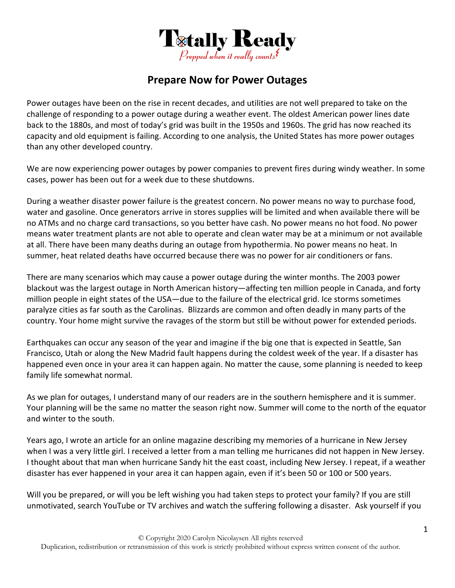

## **Prepare Now for Power Outages**

Power outages have been on the rise in recent decades, and utilities are not well prepared to take on the challenge of responding to a power outage during a weather event. The oldest American power lines date back to the 1880s, and most of today's grid was built in the 1950s and 1960s. The grid has now reached its capacity and old equipment is failing. According to one analysis, the United States has more power outages than any other developed country.

We are now experiencing power outages by power companies to prevent fires during windy weather. In some cases, power has been out for a week due to these shutdowns.

During a weather disaster power failure is the greatest concern. No power means no way to purchase food, water and gasoline. Once generators arrive in stores supplies will be limited and when available there will be no ATMs and no charge card transactions, so you better have cash. No power means no hot food. No power means water treatment plants are not able to operate and clean water may be at a minimum or not available at all. There have been many deaths during an outage from hypothermia. No power means no heat. In summer, heat related deaths have occurred because there was no power for air conditioners or fans.

There are many scenarios which may cause a power outage during the winter months. The 2003 power blackout was the largest outage in North American history—affecting ten million people in Canada, and forty million people in eight states of the USA—due to the failure of the electrical grid. Ice storms sometimes paralyze cities as far south as the Carolinas. Blizzards are common and often deadly in many parts of the country. Your home might survive the ravages of the storm but still be without power for extended periods.

Earthquakes can occur any season of the year and imagine if the big one that is expected in Seattle, San Francisco, Utah or along the New Madrid fault happens during the coldest week of the year. If a disaster has happened even once in your area it can happen again. No matter the cause, some planning is needed to keep family life somewhat normal.

As we plan for outages, I understand many of our readers are in the southern hemisphere and it is summer. Your planning will be the same no matter the season right now. Summer will come to the north of the equator and winter to the south.

Years ago, I wrote an article for an online magazine describing my memories of a hurricane in New Jersey when I was a very little girl. I received a letter from a man telling me hurricanes did not happen in New Jersey. I thought about that man when hurricane Sandy hit the east coast, including New Jersey. I repeat, if a weather disaster has ever happened in your area it can happen again, even if it's been 50 or 100 or 500 years.

Will you be prepared, or will you be left wishing you had taken steps to protect your family? If you are still unmotivated, search YouTube or TV archives and watch the suffering following a disaster. Ask yourself if you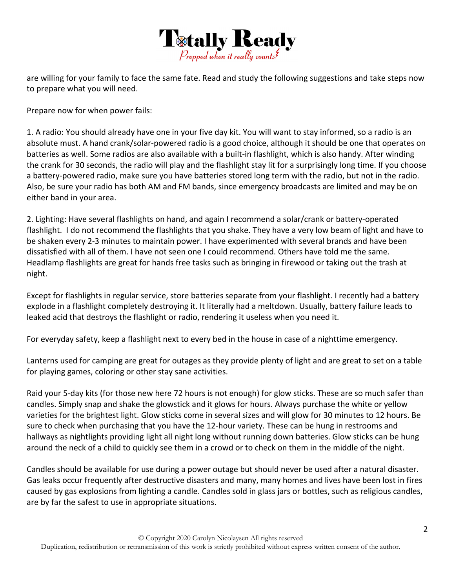

are willing for your family to face the same fate. Read and study the following suggestions and take steps now to prepare what you will need.

Prepare now for when power fails:

1. A radio: You should already have one in your five day kit. You will want to stay informed, so a radio is an absolute must. A hand crank/solar‐powered radio is a good choice, although it should be one that operates on batteries as well. Some radios are also available with a built‐in flashlight, which is also handy. After winding the crank for 30 seconds, the radio will play and the flashlight stay lit for a surprisingly long time. If you choose a battery‐powered radio, make sure you have batteries stored long term with the radio, but not in the radio. Also, be sure your radio has both AM and FM bands, since emergency broadcasts are limited and may be on either band in your area.

2. Lighting: Have several flashlights on hand, and again I recommend a solar/crank or battery‐operated flashlight. I do not recommend the flashlights that you shake. They have a very low beam of light and have to be shaken every 2‐3 minutes to maintain power. I have experimented with several brands and have been dissatisfied with all of them. I have not seen one I could recommend. Others have told me the same. Headlamp flashlights are great for hands free tasks such as bringing in firewood or taking out the trash at night.

Except for flashlights in regular service, store batteries separate from your flashlight. I recently had a battery explode in a flashlight completely destroying it. It literally had a meltdown. Usually, battery failure leads to leaked acid that destroys the flashlight or radio, rendering it useless when you need it.

For everyday safety, keep a flashlight next to every bed in the house in case of a nighttime emergency.

Lanterns used for camping are great for outages as they provide plenty of light and are great to set on a table for playing games, coloring or other stay sane activities.

Raid your 5‐day kits (for those new here 72 hours is not enough) for glow sticks. These are so much safer than candles. Simply snap and shake the glowstick and it glows for hours. Always purchase the white or yellow varieties for the brightest light. Glow sticks come in several sizes and will glow for 30 minutes to 12 hours. Be sure to check when purchasing that you have the 12-hour variety. These can be hung in restrooms and hallways as nightlights providing light all night long without running down batteries. Glow sticks can be hung around the neck of a child to quickly see them in a crowd or to check on them in the middle of the night.

Candles should be available for use during a power outage but should never be used after a natural disaster. Gas leaks occur frequently after destructive disasters and many, many homes and lives have been lost in fires caused by gas explosions from lighting a candle. Candles sold in glass jars or bottles, such as religious candles, are by far the safest to use in appropriate situations.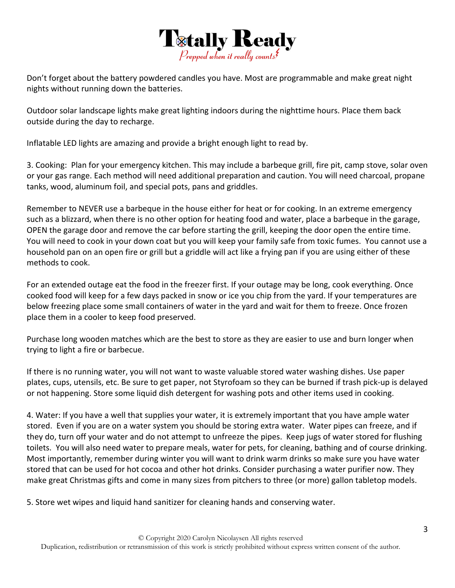

Don't forget about the battery powdered candles you have. Most are programmable and make great night nights without running down the batteries.

Outdoor solar landscape lights make great lighting indoors during the nighttime hours. Place them back outside during the day to recharge.

Inflatable LED lights are amazing and provide a bright enough light to read by.

3. Cooking: Plan for your emergency kitchen. This may include a barbeque grill, fire pit, camp stove, solar oven or your gas range. Each method will need additional preparation and caution. You will need charcoal, propane tanks, wood, aluminum foil, and special pots, pans and griddles.

Remember to NEVER use a barbeque in the house either for heat or for cooking. In an extreme emergency such as a blizzard, when there is no other option for heating food and water, place a barbeque in the garage, OPEN the garage door and remove the car before starting the grill, keeping the door open the entire time. You will need to cook in your down coat but you will keep your family safe from toxic fumes. You cannot use a household pan on an open fire or grill but a griddle will act like a frying pan if you are using either of these methods to cook.

For an extended outage eat the food in the freezer first. If your outage may be long, cook everything. Once cooked food will keep for a few days packed in snow or ice you chip from the yard. If your temperatures are below freezing place some small containers of water in the yard and wait for them to freeze. Once frozen place them in a cooler to keep food preserved.

Purchase long wooden matches which are the best to store as they are easier to use and burn longer when trying to light a fire or barbecue.

If there is no running water, you will not want to waste valuable stored water washing dishes. Use paper plates, cups, utensils, etc. Be sure to get paper, not Styrofoam so they can be burned if trash pick‐up is delayed or not happening. Store some liquid dish detergent for washing pots and other items used in cooking.

4. Water: If you have a well that supplies your water, it is extremely important that you have ample water stored. Even if you are on a water system you should be storing extra water. Water pipes can freeze, and if they do, turn off your water and do not attempt to unfreeze the pipes. Keep jugs of water stored for flushing toilets. You will also need water to prepare meals, water for pets, for cleaning, bathing and of course drinking. Most importantly, remember during winter you will want to drink warm drinks so make sure you have water stored that can be used for hot cocoa and other hot drinks. Consider purchasing a water purifier now. They make great Christmas gifts and come in many sizes from pitchers to three (or more) gallon tabletop models.

5. Store wet wipes and liquid hand sanitizer for cleaning hands and conserving water.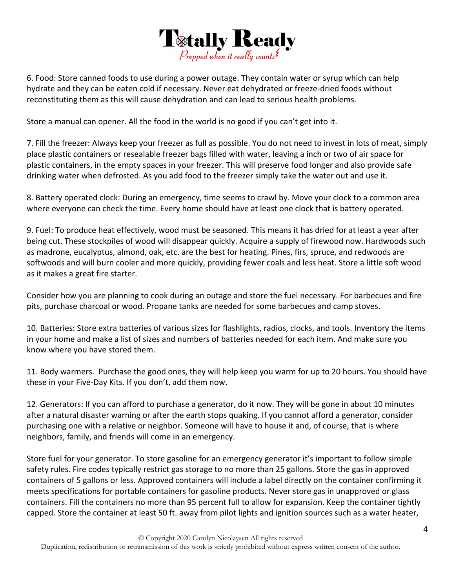

6. Food: Store canned foods to use during a power outage. They contain water or syrup which can help hydrate and they can be eaten cold if necessary. Never eat dehydrated or freeze‐dried foods without reconstituting them as this will cause dehydration and can lead to serious health problems.

Store a manual can opener. All the food in the world is no good if you can't get into it.

7. Fill the freezer: Always keep your freezer as full as possible. You do not need to invest in lots of meat, simply place plastic containers or resealable freezer bags filled with water, leaving a inch or two of air space for plastic containers, in the empty spaces in your freezer. This will preserve food longer and also provide safe drinking water when defrosted. As you add food to the freezer simply take the water out and use it.

8. Battery operated clock: During an emergency, time seems to crawl by. Move your clock to a common area where everyone can check the time. Every home should have at least one clock that is battery operated.

9. Fuel: To produce heat effectively, wood must be seasoned. This means it has dried for at least a year after being cut. These stockpiles of wood will disappear quickly. Acquire a supply of firewood now. Hardwoods such as madrone, eucalyptus, almond, oak, etc. are the best for heating. Pines, firs, spruce, and redwoods are softwoods and will burn cooler and more quickly, providing fewer coals and less heat. Store a little soft wood as it makes a great fire starter.

Consider how you are planning to cook during an outage and store the fuel necessary. For barbecues and fire pits, purchase charcoal or wood. Propane tanks are needed for some barbecues and camp stoves.

10. Batteries: Store extra batteries of various sizes for flashlights, radios, clocks, and tools. Inventory the items in your home and make a list of sizes and numbers of batteries needed for each item. And make sure you know where you have stored them.

11. Body warmers. Purchase the good ones, they will help keep you warm for up to 20 hours. You should have these in your Five‐Day Kits. If you don't, add them now.

12. Generators: If you can afford to purchase a generator, do it now. They will be gone in about 10 minutes after a natural disaster warning or after the earth stops quaking. If you cannot afford a generator, consider purchasing one with a relative or neighbor. Someone will have to house it and, of course, that is where neighbors, family, and friends will come in an emergency.

Store fuel for your generator. To store gasoline for an emergency generator it's important to follow simple safety rules. Fire codes typically restrict gas storage to no more than 25 gallons. Store the gas in approved containers of 5 gallons or less. Approved containers will include a label directly on the container confirming it meets specifications for portable containers for gasoline products. Never store gas in unapproved or glass containers. Fill the containers no more than 95 percent full to allow for expansion. Keep the container tightly capped. Store the container at least 50 ft. away from pilot lights and ignition sources such as a water heater,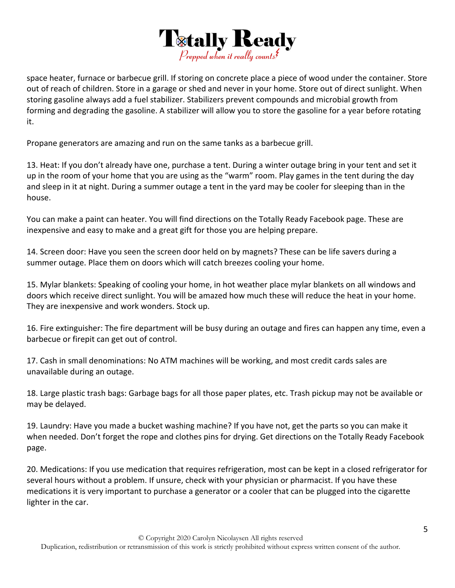

space heater, furnace or barbecue grill. If storing on concrete place a piece of wood under the container. Store out of reach of children. Store in a garage or shed and never in your home. Store out of direct sunlight. When storing gasoline always add a fuel stabilizer. Stabilizers prevent compounds and microbial growth from forming and degrading the gasoline. A stabilizer will allow you to store the gasoline for a year before rotating it.

Propane generators are amazing and run on the same tanks as a barbecue grill.

13. Heat: If you don't already have one, purchase a tent. During a winter outage bring in your tent and set it up in the room of your home that you are using as the "warm" room. Play games in the tent during the day and sleep in it at night. During a summer outage a tent in the yard may be cooler for sleeping than in the house.

You can make a paint can heater. You will find directions on the Totally Ready Facebook page. These are inexpensive and easy to make and a great gift for those you are helping prepare.

14. Screen door: Have you seen the screen door held on by magnets? These can be life savers during a summer outage. Place them on doors which will catch breezes cooling your home.

15. Mylar blankets: Speaking of cooling your home, in hot weather place mylar blankets on all windows and doors which receive direct sunlight. You will be amazed how much these will reduce the heat in your home. They are inexpensive and work wonders. Stock up.

16. Fire extinguisher: The fire department will be busy during an outage and fires can happen any time, even a barbecue or firepit can get out of control.

17. Cash in small denominations: No ATM machines will be working, and most credit cards sales are unavailable during an outage.

18. Large plastic trash bags: Garbage bags for all those paper plates, etc. Trash pickup may not be available or may be delayed.

19. Laundry: Have you made a bucket washing machine? If you have not, get the parts so you can make it when needed. Don't forget the rope and clothes pins for drying. Get directions on the Totally Ready Facebook page.

20. Medications: If you use medication that requires refrigeration, most can be kept in a closed refrigerator for several hours without a problem. If unsure, check with your physician or pharmacist. If you have these medications it is very important to purchase a generator or a cooler that can be plugged into the cigarette lighter in the car.